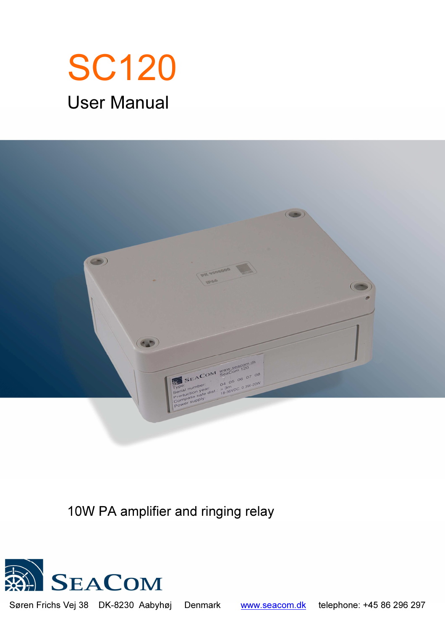# SC120 User Manual



10W PA amplifier and ringing relay



Søren Frichs Vej 38 DK-8230 Aabyhøj Denmark www.seacom.dk telephone: +45 86 296 297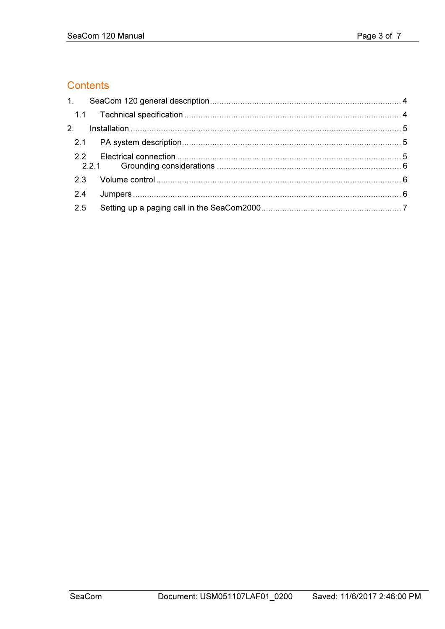# Contents

| 2 <sub>1</sub> |  |
|----------------|--|
|                |  |
| 2.2            |  |
|                |  |
| 2.4            |  |
| 2.5            |  |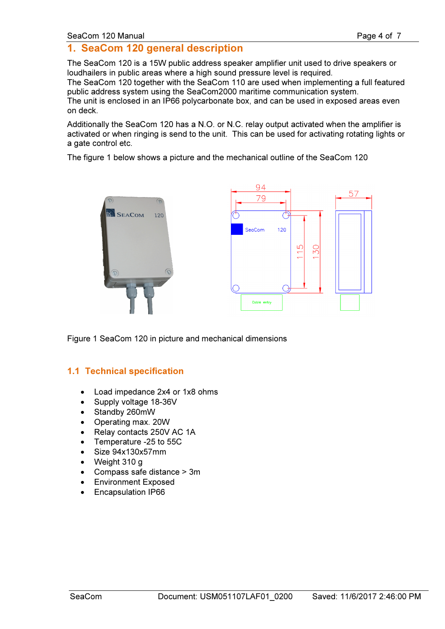#### SeaCom 120 Manual **Page 4 of 7** SeaCom 120 Manual Page 4 of 7

# 1. SeaCom 120 general description

The SeaCom 120 is a 15W public address speaker amplifier unit used to drive speakers or loudhailers in public areas where a high sound pressure level is required.

The SeaCom 120 together with the SeaCom 110 are used when implementing a full featured public address system using the SeaCom2000 maritime communication system.

The unit is enclosed in an IP66 polycarbonate box, and can be used in exposed areas even on deck.

Additionally the SeaCom 120 has a N.O. or N.C. relay output activated when the amplifier is activated or when ringing is send to the unit. This can be used for activating rotating lights or a gate control etc.

The figure 1 below shows a picture and the mechanical outline of the SeaCom 120



Figure 1 SeaCom 120 in picture and mechanical dimensions

#### 1.1 Technical specification

- Load impedance 2x4 or 1x8 ohms
- Supply voltage 18-36V
- Standby 260mW
- Operating max. 20W
- Relay contacts 250V AC 1A
- Temperature -25 to 55C
- Size 94x130x57mm
- Weight 310 g
- Compass safe distance > 3m
- Environment Exposed
- Encapsulation IP66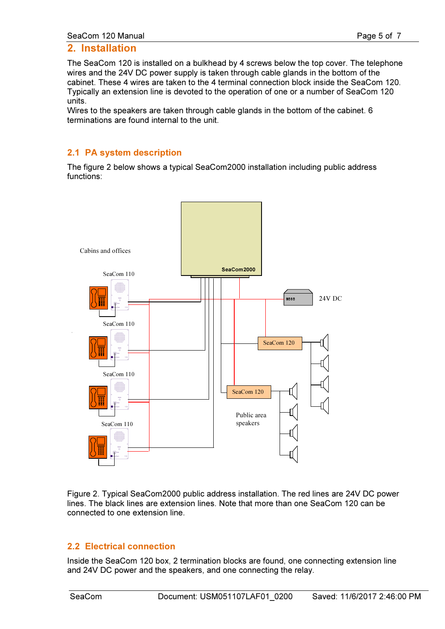#### 2. Installation

The SeaCom 120 is installed on a bulkhead by 4 screws below the top cover. The telephone wires and the 24V DC power supply is taken through cable glands in the bottom of the cabinet. These 4 wires are taken to the 4 terminal connection block inside the SeaCom 120. Typically an extension line is devoted to the operation of one or a number of SeaCom 120 units.

Wires to the speakers are taken through cable glands in the bottom of the cabinet. 6 terminations are found internal to the unit.

#### 2.1 PA system description

The figure 2 below shows a typical SeaCom2000 installation including public address functions:



Figure 2. Typical SeaCom2000 public address installation. The red lines are 24V DC power lines. The black lines are extension lines. Note that more than one SeaCom 120 can be connected to one extension line.

#### 2.2 Electrical connection

Inside the SeaCom 120 box, 2 termination blocks are found, one connecting extension line and 24V DC power and the speakers, and one connecting the relay.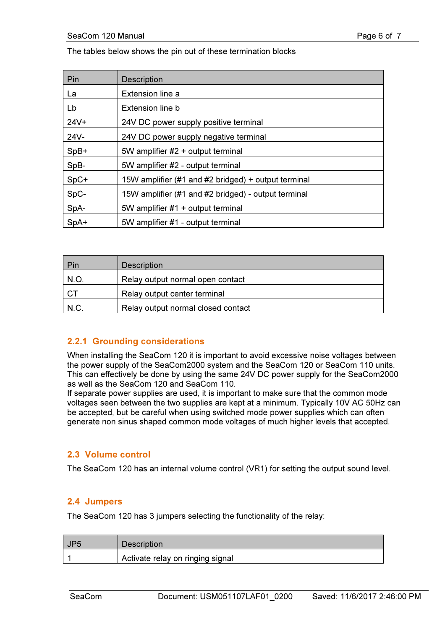The tables below shows the pin out of these termination blocks

| Pin     | <b>Description</b>                                  |
|---------|-----------------------------------------------------|
| La      | Extension line a                                    |
| Lb      | Extension line b                                    |
| $24V +$ | 24V DC power supply positive terminal               |
| $24V -$ | 24V DC power supply negative terminal               |
| $SpB+$  | 5W amplifier #2 + output terminal                   |
| SpB-    | 5W amplifier #2 - output terminal                   |
| $SpC+$  | 15W amplifier (#1 and #2 bridged) + output terminal |
| SpC-    | 15W amplifier (#1 and #2 bridged) - output terminal |
| SpA-    | 5W amplifier #1 + output terminal                   |
| SpA+    | 5W amplifier #1 - output terminal                   |

| Pin  | <b>Description</b>                 |
|------|------------------------------------|
| N.O. | Relay output normal open contact   |
| -CT  | Relay output center terminal       |
| N.C. | Relay output normal closed contact |

### 2.2.1 Grounding considerations

When installing the SeaCom 120 it is important to avoid excessive noise voltages between the power supply of the SeaCom2000 system and the SeaCom 120 or SeaCom 110 units. This can effectively be done by using the same 24V DC power supply for the SeaCom2000 as well as the SeaCom 120 and SeaCom 110.

If separate power supplies are used, it is important to make sure that the common mode voltages seen between the two supplies are kept at a minimum. Typically 10V AC 50Hz can be accepted, but be careful when using switched mode power supplies which can often generate non sinus shaped common mode voltages of much higher levels that accepted.

#### 2.3 Volume control

The SeaCom 120 has an internal volume control (VR1) for setting the output sound level.

#### 2.4 Jumpers

The SeaCom 120 has 3 jumpers selecting the functionality of the relay:

| UP <sub>5</sub> | <b>Description</b>               |
|-----------------|----------------------------------|
|                 | Activate relay on ringing signal |